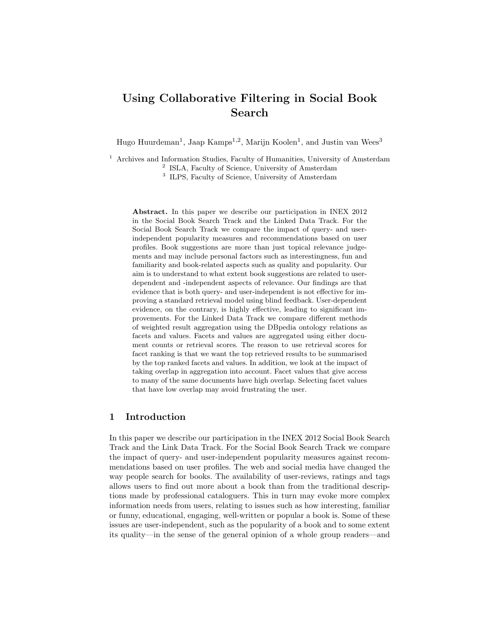# Using Collaborative Filtering in Social Book Search

Hugo Huurdeman<sup>1</sup>, Jaap Kamps<sup>1,2</sup>, Marijn Koolen<sup>1</sup>, and Justin van Wees<sup>3</sup>

<sup>1</sup> Archives and Information Studies, Faculty of Humanities, University of Amsterdam

<sup>2</sup> ISLA, Faculty of Science, University of Amsterdam

<sup>3</sup> ILPS, Faculty of Science, University of Amsterdam

Abstract. In this paper we describe our participation in INEX 2012 in the Social Book Search Track and the Linked Data Track. For the Social Book Search Track we compare the impact of query- and userindependent popularity measures and recommendations based on user profiles. Book suggestions are more than just topical relevance judgements and may include personal factors such as interestingness, fun and familiarity and book-related aspects such as quality and popularity. Our aim is to understand to what extent book suggestions are related to userdependent and -independent aspects of relevance. Our findings are that evidence that is both query- and user-independent is not effective for improving a standard retrieval model using blind feedback. User-dependent evidence, on the contrary, is highly effective, leading to significant improvements. For the Linked Data Track we compare different methods of weighted result aggregation using the DBpedia ontology relations as facets and values. Facets and values are aggregated using either document counts or retrieval scores. The reason to use retrieval scores for facet ranking is that we want the top retrieved results to be summarised by the top ranked facets and values. In addition, we look at the impact of taking overlap in aggregation into account. Facet values that give access to many of the same documents have high overlap. Selecting facet values that have low overlap may avoid frustrating the user.

# 1 Introduction

In this paper we describe our participation in the INEX 2012 Social Book Search Track and the Link Data Track. For the Social Book Search Track we compare the impact of query- and user-independent popularity measures against recommendations based on user profiles. The web and social media have changed the way people search for books. The availability of user-reviews, ratings and tags allows users to find out more about a book than from the traditional descriptions made by professional cataloguers. This in turn may evoke more complex information needs from users, relating to issues such as how interesting, familiar or funny, educational, engaging, well-written or popular a book is. Some of these issues are user-independent, such as the popularity of a book and to some extent its quality—in the sense of the general opinion of a whole group readers—and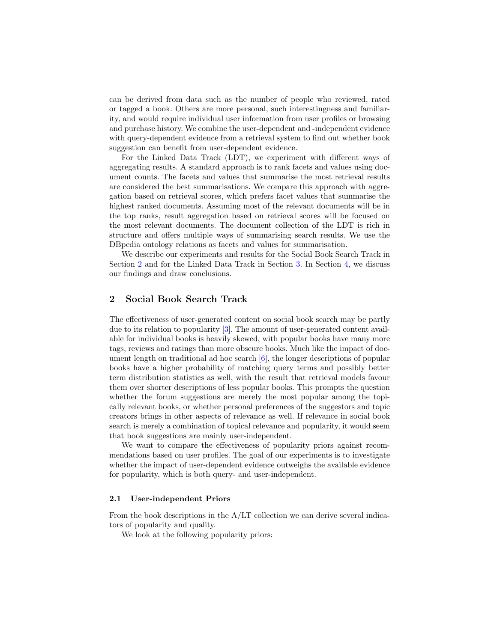can be derived from data such as the number of people who reviewed, rated or tagged a book. Others are more personal, such interestingness and familiarity, and would require individual user information from user profiles or browsing and purchase history. We combine the user-dependent and -independent evidence with query-dependent evidence from a retrieval system to find out whether book suggestion can benefit from user-dependent evidence.

For the Linked Data Track (LDT), we experiment with different ways of aggregating results. A standard approach is to rank facets and values using document counts. The facets and values that summarise the most retrieval results are considered the best summarisations. We compare this approach with aggregation based on retrieval scores, which prefers facet values that summarise the highest ranked documents. Assuming most of the relevant documents will be in the top ranks, result aggregation based on retrieval scores will be focused on the most relevant documents. The document collection of the LDT is rich in structure and offers multiple ways of summarising search results. We use the DBpedia ontology relations as facets and values for summarisation.

We describe our experiments and results for the Social Book Search Track in Section [2](#page-1-0) and for the Linked Data Track in Section [3.](#page-7-0) In Section [4,](#page-9-0) we discuss our findings and draw conclusions.

# <span id="page-1-0"></span>2 Social Book Search Track

The effectiveness of user-generated content on social book search may be partly due to its relation to popularity [\[3\]](#page-10-0). The amount of user-generated content available for individual books is heavily skewed, with popular books have many more tags, reviews and ratings than more obscure books. Much like the impact of document length on traditional ad hoc search [\[6\]](#page-10-1), the longer descriptions of popular books have a higher probability of matching query terms and possibly better term distribution statistics as well, with the result that retrieval models favour them over shorter descriptions of less popular books. This prompts the question whether the forum suggestions are merely the most popular among the topically relevant books, or whether personal preferences of the suggestors and topic creators brings in other aspects of relevance as well. If relevance in social book search is merely a combination of topical relevance and popularity, it would seem that book suggestions are mainly user-independent.

We want to compare the effectiveness of popularity priors against recommendations based on user profiles. The goal of our experiments is to investigate whether the impact of user-dependent evidence outweighs the available evidence for popularity, which is both query- and user-independent.

#### 2.1 User-independent Priors

From the book descriptions in the A/LT collection we can derive several indicators of popularity and quality.

We look at the following popularity priors: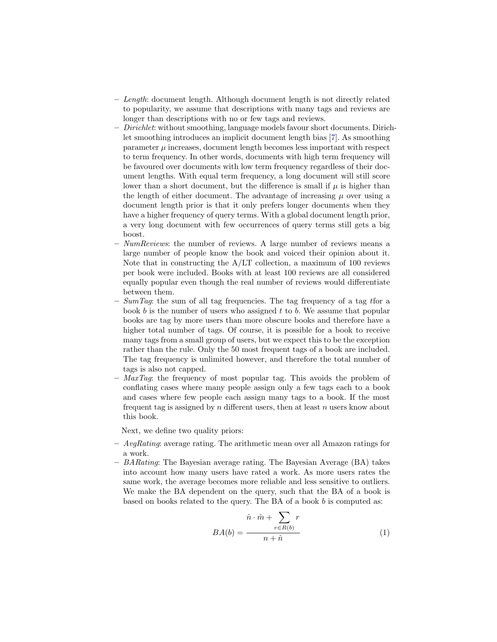- Length: document length. Although document length is not directly related to popularity, we assume that descriptions with many tags and reviews are longer than descriptions with no or few tags and reviews.
- Dirichlet: without smoothing, language models favour short documents. Dirichlet smoothing introduces an implicit document length bias [\[7\]](#page-10-2). As smoothing  $\mu$  increases, document length becomes less important with respect to term frequency. In other words, documents with high term frequency will be favoured over documents with low term frequency regardless of their document lengths. With equal term frequency, a long document will still score lower than a short document, but the difference is small if  $\mu$  is higher than the length of either document. The advantage of increasing  $\mu$  over using a document length prior is that it only prefers longer documents when they have a higher frequency of query terms. With a global document length prior, a very long document with few occurrences of query terms still gets a big boost.
- $-$  NumReviews: the number of reviews. A large number of reviews means a large number of people know the book and voiced their opinion about it. Note that in constructing the A/LT collection, a maximum of 100 reviews per book were included. Books with at least 100 reviews are all considered equally popular even though the real number of reviews would differentiate between them.
- $SumTag$ : the sum of all tag frequencies. The tag frequency of a tag tfor a book b is the number of users who assigned t to b. We assume that popular books are tag by more users than more obscure books and therefore have a higher total number of tags. Of course, it is possible for a book to receive many tags from a small group of users, but we expect this to be the exception rather than the rule. Only the 50 most frequent tags of a book are included. The tag frequency is unlimited however, and therefore the total number of tags is also not capped.
- $-$  MaxTag: the frequency of most popular tag. This avoids the problem of conflating cases where many people assign only a few tags each to a book and cases where few people each assign many tags to a book. If the most frequent tag is assigned by n different users, then at least n users know about this book.

Next, we define two quality priors:

- $-$  AvgRating: average rating. The arithmetic mean over all Amazon ratings for a work.
- $-$  BARating: The Bayesian average rating. The Bayesian Average (BA) takes into account how many users have rated a work. As more users rates the same work, the average becomes more reliable and less sensitive to outliers. We make the BA dependent on the query, such that the BA of a book is based on books related to the query. The BA of a book b is computed as:

$$
BA(b) = \frac{\hat{n} \cdot \hat{m} + \sum_{r \in R(b)} r}{n + \hat{n}}
$$
 (1)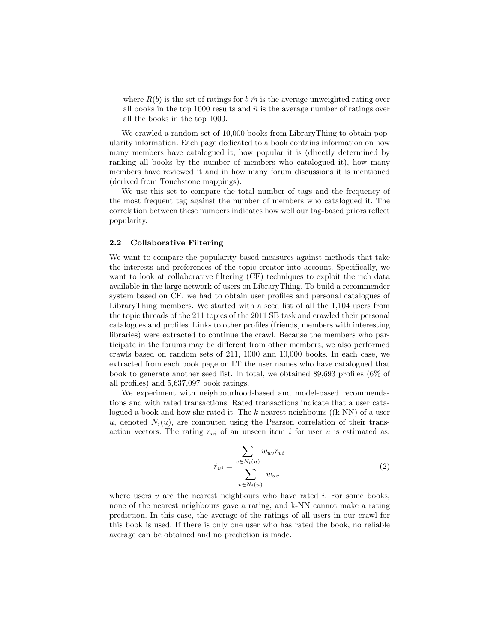where  $R(b)$  is the set of ratings for b  $\hat{m}$  is the average unweighted rating over all books in the top 1000 results and  $\hat{n}$  is the average number of ratings over all the books in the top 1000.

We crawled a random set of  $10,000$  books from LibraryThing to obtain popularity information. Each page dedicated to a book contains information on how many members have catalogued it, how popular it is (directly determined by ranking all books by the number of members who catalogued it), how many members have reviewed it and in how many forum discussions it is mentioned (derived from Touchstone mappings).

We use this set to compare the total number of tags and the frequency of the most frequent tag against the number of members who catalogued it. The correlation between these numbers indicates how well our tag-based priors reflect popularity.

#### 2.2 Collaborative Filtering

We want to compare the popularity based measures against methods that take the interests and preferences of the topic creator into account. Specifically, we want to look at collaborative filtering (CF) techniques to exploit the rich data available in the large network of users on LibraryThing. To build a recommender system based on CF, we had to obtain user profiles and personal catalogues of LibraryThing members. We started with a seed list of all the 1,104 users from the topic threads of the 211 topics of the 2011 SB task and crawled their personal catalogues and profiles. Links to other profiles (friends, members with interesting libraries) were extracted to continue the crawl. Because the members who participate in the forums may be different from other members, we also performed crawls based on random sets of 211, 1000 and 10,000 books. In each case, we extracted from each book page on LT the user names who have catalogued that book to generate another seed list. In total, we obtained 89,693 profiles (6% of all profiles) and 5,637,097 book ratings.

We experiment with neighbourhood-based and model-based recommendations and with rated transactions. Rated transactions indicate that a user catalogued a book and how she rated it. The k nearest neighbours  $((k-NN)$  of a user u, denoted  $N_i(u)$ , are computed using the Pearson correlation of their transaction vectors. The rating  $r_{ui}$  of an unseen item i for user u is estimated as:

$$
\hat{r}_{ui} = \frac{\sum_{v \in N_i(u)} w_{uv} r_{vi}}{\sum_{v \in N_i(u)} |w_{uv}|}
$$
\n(2)

where users  $v$  are the nearest neighbours who have rated i. For some books, none of the nearest neighbours gave a rating, and k-NN cannot make a rating prediction. In this case, the average of the ratings of all users in our crawl for this book is used. If there is only one user who has rated the book, no reliable average can be obtained and no prediction is made.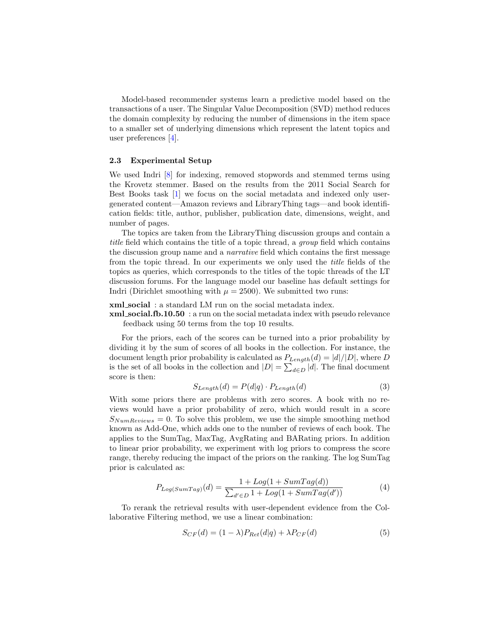Model-based recommender systems learn a predictive model based on the transactions of a user. The Singular Value Decomposition (SVD) method reduces the domain complexity by reducing the number of dimensions in the item space to a smaller set of underlying dimensions which represent the latent topics and user preferences [\[4\]](#page-10-3).

#### 2.3 Experimental Setup

We used Indri  $\begin{bmatrix} 8 \\ 6 \end{bmatrix}$  for indexing, removed stopwords and stemmed terms using the Krovetz stemmer. Based on the results from the 2011 Social Search for Best Books task [\[1\]](#page-9-1) we focus on the social metadata and indexed only usergenerated content—Amazon reviews and LibraryThing tags—and book identification fields: title, author, publisher, publication date, dimensions, weight, and number of pages.

The topics are taken from the LibraryThing discussion groups and contain a title field which contains the title of a topic thread, a group field which contains the discussion group name and a narrative field which contains the first message from the topic thread. In our experiments we only used the title fields of the topics as queries, which corresponds to the titles of the topic threads of the LT discussion forums. For the language model our baseline has default settings for Indri (Dirichlet smoothing with  $\mu = 2500$ ). We submitted two runs:

xml social : a standard LM run on the social metadata index.

xml social.fb.10.50 : a run on the social metadata index with pseudo relevance feedback using 50 terms from the top 10 results.

For the priors, each of the scores can be turned into a prior probability by dividing it by the sum of scores of all books in the collection. For instance, the document length prior probability is calculated as  $P_{Lenath}(d) = |d|/|D|$ , where D is the set of all books in the collection and  $|D| = \sum_{d \in D} |d|$ . The final document score is then:

$$
S_{Length}(d) = P(d|q) \cdot P_{Length}(d)
$$
\n(3)

With some priors there are problems with zero scores. A book with no reviews would have a prior probability of zero, which would result in a score  $S_{NumReviews} = 0$ . To solve this problem, we use the simple smoothing method known as Add-One, which adds one to the number of reviews of each book. The applies to the SumTag, MaxTag, AvgRating and BARating priors. In addition to linear prior probability, we experiment with log priors to compress the score range, thereby reducing the impact of the priors on the ranking. The log SumTag prior is calculated as:

$$
P_{Log(SumTag)}(d) = \frac{1 + Log(1 + SumTag(d))}{\sum_{d' \in D} 1 + Log(1 + SumTag(d'))}
$$
(4)

To rerank the retrieval results with user-dependent evidence from the Collaborative Filtering method, we use a linear combination:

$$
S_{CF}(d) = (1 - \lambda)P_{Ret}(d|q) + \lambda P_{CF}(d)
$$
\n<sup>(5)</sup>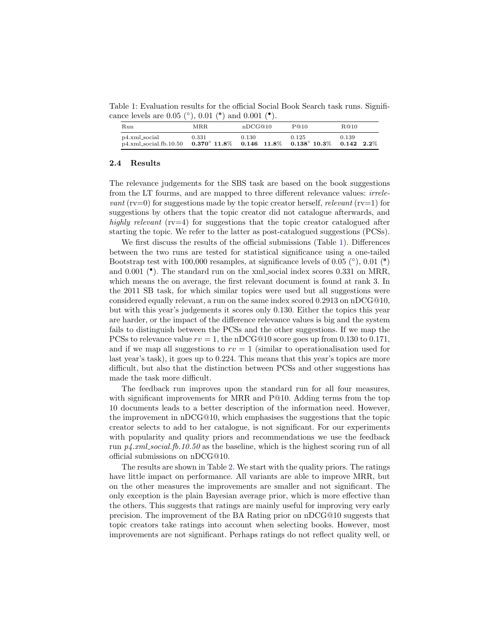<span id="page-5-0"></span>Table 1: Evaluation results for the official Social Book Search task runs. Significance levels are 0.05 (°), 0.01 (°) and 0.001 (°).

| Run                                                                                                               | MRR.  | nDCG@10 | P@10  | R@10  |
|-------------------------------------------------------------------------------------------------------------------|-------|---------|-------|-------|
| p4.xml_social<br>$p4.$ xml_social.fb.10.50 $0.370^{\circ}$ 11.8% $0.146$ 11.8% $0.138^{\circ}$ 10.3% $0.142$ 2.2% | 0.331 | 0.130   | 0.125 | 0.139 |

#### 2.4 Results

The relevance judgements for the SBS task are based on the book suggestions from the LT fourms, and are mapped to three different relevance values: irrele*vant* ( $\text{rv}=0$ ) for suggestions made by the topic creator herself, *relevant* ( $\text{rv}=1$ ) for suggestions by others that the topic creator did not catalogue afterwards, and highly relevant  $(rv=4)$  for suggestions that the topic creator catalogued after starting the topic. We refer to the latter as post-catalogued suggestions (PCSs).

We first discuss the results of the official submissions (Table [1\)](#page-5-0). Differences between the two runs are tested for statistical significance using a one-tailed Bootstrap test with 100,000 resamples, at significance levels of 0.05  $(°)$ , 0.01  $(°)$ and 0.001 (<sup>\*</sup>). The standard run on the xml social index scores 0.331 on MRR, which means the on average, the first relevant document is found at rank 3. In the 2011 SB task, for which similar topics were used but all suggestions were considered equally relevant, a run on the same index scored 0.2913 on nDCG@10, but with this year's judgements it scores only 0.130. Either the topics this year are harder, or the impact of the difference relevance values is big and the system fails to distinguish between the PCSs and the other suggestions. If we map the PCSs to relevance value  $rv = 1$ , the nDCG@10 score goes up from 0.130 to 0.171, and if we map all suggestions to  $rv = 1$  (similar to operationalisation used for last year's task), it goes up to 0.224. This means that this year's topics are more difficult, but also that the distinction between PCSs and other suggestions has made the task more difficult.

The feedback run improves upon the standard run for all four measures, with significant improvements for MRR and P@10. Adding terms from the top 10 documents leads to a better description of the information need. However, the improvement in nDCG@10, which emphasises the suggestions that the topic creator selects to add to her catalogue, is not significant. For our experiments with popularity and quality priors and recommendations we use the feedback run  $p\angle$ .*xml\_social.fb.10.50* as the baseline, which is the highest scoring run of all official submissions on nDCG@10.

The results are shown in Table [2.](#page-6-0) We start with the quality priors. The ratings have little impact on performance. All variants are able to improve MRR, but on the other measures the improvements are smaller and not significant. The only exception is the plain Bayesian average prior, which is more effective than the others. This suggests that ratings are mainly useful for improving very early precision. The improvement of the BA Rating prior on nDCG@10 suggests that topic creators take ratings into account when selecting books. However, most improvements are not significant. Perhaps ratings do not reflect quality well, or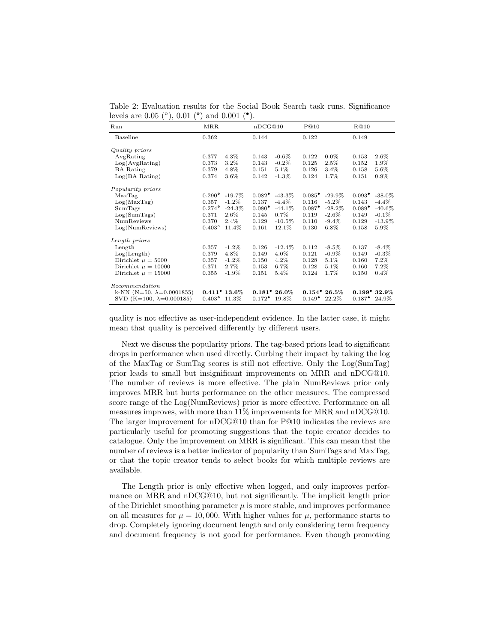<span id="page-6-0"></span>Table 2: Evaluation results for the Social Book Search task runs. Significance levels are 0.05 (°), 0.01 (°) and 0.001 (°).

| Run                               | MRR             |                         | nDCG@10           |                          | P@10                   |           | R@10                 |                         |
|-----------------------------------|-----------------|-------------------------|-------------------|--------------------------|------------------------|-----------|----------------------|-------------------------|
| Baseline                          | 0.362           |                         | 0.144             |                          | 0.122                  |           | 0.149                |                         |
| Quality priors                    |                 |                         |                   |                          |                        |           |                      |                         |
| AvgRating                         | 0.377           | 4.3%                    | 0.143             | $-0.6\%$                 | 0.122                  | $0.0\%$   | 0.153                | $2.6\%$                 |
| Log(AvgRating)                    | 0.373           | 3.2%                    | 0.143             | $-0.2\%$                 | 0.125                  | 2.5%      | 0.152                | 1.9%                    |
| <b>BA</b> Rating                  | 0.379           | 4.8%                    | 0.151             | 5.1%                     | 0.126                  | 3.4%      | 0.158                | $5.6\%$                 |
| $Log(BA \; Rating)$               | 0.374           | $3.6\%$                 | 0.142             | $-1.3%$                  | 0.124                  | 1.7%      | 0.151                | $0.9\%$                 |
| Popularity priors                 |                 |                         |                   |                          |                        |           |                      |                         |
| MaxTag                            | $0.290^{\circ}$ | $-19.7\%$               | $0.082^{\bullet}$ | $-43.3\%$                | $0.085^{\bullet}$      | $-29.9\%$ | $0.093^{\bullet}$    | $-38.0\%$               |
| Log(MaxTag)                       | 0.357           | $-1.2\%$                | 0.137             | $-4.4\%$                 | 0.116                  | $-5.2\%$  | 0.143                | $-4.4\%$                |
| SumTags                           | $0.274^{\circ}$ | $-24.3%$                | $0.080^{\bullet}$ | $-44.1%$                 | $0.087^{\bullet}$      | $-28.2\%$ | $0.089$ <sup>*</sup> | $-40.6\%$               |
| Log(SumTags)                      | 0.371           | $2.6\%$                 | 0.145             | $0.7\%$                  | 0.119                  | $-2.6\%$  | 0.149                | $-0.1\%$                |
| <b>NumReviews</b>                 | 0.370           | 2.4%                    | 0.129             | $-10.5\%$                | 0.110                  | $-9.4\%$  | 0.129                | $-13.9\%$               |
| Log(NumReviews)                   | $0.403^{\circ}$ | 11.4%                   | 0.161             | 12.1%                    | 0.130                  | $6.8\%$   | 0.158                | 5.9%                    |
| Length priors                     |                 |                         |                   |                          |                        |           |                      |                         |
| Length                            | 0.357           | $-1.2%$                 | 0.126             | $-12.4%$                 | 0.112                  | $-8.5\%$  | 0.137                | $-8.4\%$                |
| Log(Length)                       | 0.379           | 4.8%                    | 0.149             | 4.0%                     | 0.121                  | $-0.9\%$  | 0.149                | $-0.3%$                 |
| Dirichlet $\mu = 5000$            | 0.357           | $-1.2\%$                | 0.150             | 4.2%                     | 0.128                  | 5.1%      | 0.160                | 7.2%                    |
| Dirichlet $\mu = 10000$           | 0.371           | 2.7%                    | 0.153             | 6.7%                     | 0.128                  | 5.1%      | 0.160                | 7.2%                    |
| Dirichlet $\mu = 15000$           | 0.355           | $-1.9\%$                | 0.151             | 5.4%                     | 0.124                  | 1.7%      | 0.150                | 0.4%                    |
| Recommendation                    |                 |                         |                   |                          |                        |           |                      |                         |
| k-NN (N=50, $\lambda$ =0.0001855) |                 | $0.411^{\bullet}$ 13.6% |                   | $0.181^{\bullet} 26.0\%$ | $0.154^{\circ} 26.5\%$ |           |                      | $0.199^{\bullet}$ 32.9% |
| SVD (K=100, $\lambda$ =0.000185)  | $0.403^{\circ}$ | 11.3%                   | $0.172^{\bullet}$ | 19.8%                    | $0.149^{\bullet}$      | 22.2%     | $0.187$ <sup>*</sup> | 24.9%                   |

quality is not effective as user-independent evidence. In the latter case, it might mean that quality is perceived differently by different users.

Next we discuss the popularity priors. The tag-based priors lead to significant drops in performance when used directly. Curbing their impact by taking the log of the MaxTag or SumTag scores is still not effective. Only the Log(SumTag) prior leads to small but insignificant improvements on MRR and nDCG@10. The number of reviews is more effective. The plain NumReviews prior only improves MRR but hurts performance on the other measures. The compressed score range of the Log(NumReviews) prior is more effective. Performance on all measures improves, with more than 11% improvements for MRR and nDCG@10. The larger improvement for nDCG@10 than for P@10 indicates the reviews are particularly useful for promoting suggestions that the topic creator decides to catalogue. Only the improvement on MRR is significant. This can mean that the number of reviews is a better indicator of popularity than SumTags and MaxTag, or that the topic creator tends to select books for which multiple reviews are available.

The Length prior is only effective when logged, and only improves performance on MRR and nDCG@10, but not significantly. The implicit length prior of the Dirichlet smoothing parameter  $\mu$  is more stable, and improves performance on all measures for  $\mu = 10,000$ . With higher values for  $\mu$ , performance starts to drop. Completely ignoring document length and only considering term frequency and document frequency is not good for performance. Even though promoting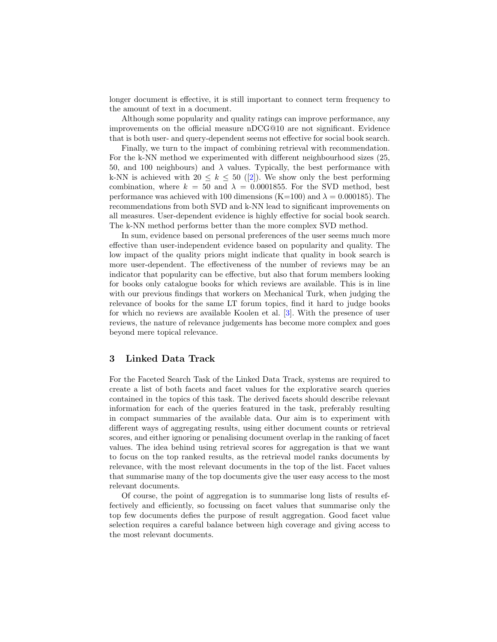longer document is effective, it is still important to connect term frequency to the amount of text in a document.

Although some popularity and quality ratings can improve performance, any improvements on the official measure nDCG@10 are not significant. Evidence that is both user- and query-dependent seems not effective for social book search.

Finally, we turn to the impact of combining retrieval with recommendation. For the k-NN method we experimented with different neighbourhood sizes (25, 50, and 100 neighbours) and  $\lambda$  values. Typically, the best performance with k-NN is achieved with  $20 \leq k \leq 50$  ([\[2\]](#page-9-2)). We show only the best performing combination, where  $k = 50$  and  $\lambda = 0.0001855$ . For the SVD method, best performance was achieved with 100 dimensions (K=100) and  $\lambda = 0.000185$ ). The recommendations from both SVD and k-NN lead to significant improvements on all measures. User-dependent evidence is highly effective for social book search. The k-NN method performs better than the more complex SVD method.

In sum, evidence based on personal preferences of the user seems much more effective than user-independent evidence based on popularity and quality. The low impact of the quality priors might indicate that quality in book search is more user-dependent. The effectiveness of the number of reviews may be an indicator that popularity can be effective, but also that forum members looking for books only catalogue books for which reviews are available. This is in line with our previous findings that workers on Mechanical Turk, when judging the relevance of books for the same LT forum topics, find it hard to judge books for which no reviews are available Koolen et al. [\[3\]](#page-10-0). With the presence of user reviews, the nature of relevance judgements has become more complex and goes beyond mere topical relevance.

# <span id="page-7-0"></span>3 Linked Data Track

For the Faceted Search Task of the Linked Data Track, systems are required to create a list of both facets and facet values for the explorative search queries contained in the topics of this task. The derived facets should describe relevant information for each of the queries featured in the task, preferably resulting in compact summaries of the available data. Our aim is to experiment with different ways of aggregating results, using either document counts or retrieval scores, and either ignoring or penalising document overlap in the ranking of facet values. The idea behind using retrieval scores for aggregation is that we want to focus on the top ranked results, as the retrieval model ranks documents by relevance, with the most relevant documents in the top of the list. Facet values that summarise many of the top documents give the user easy access to the most relevant documents.

Of course, the point of aggregation is to summarise long lists of results effectively and efficiently, so focussing on facet values that summarise only the top few documents defies the purpose of result aggregation. Good facet value selection requires a careful balance between high coverage and giving access to the most relevant documents.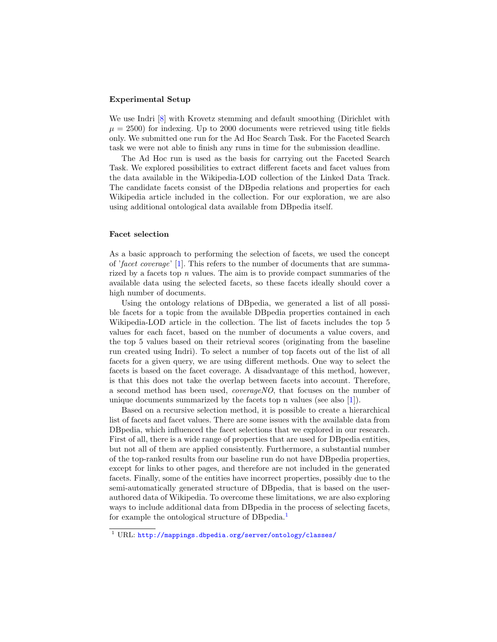#### Experimental Setup

We use Indri  $[8]$  with Krovetz stemming and default smoothing (Dirichlet with  $\mu = 2500$ ) for indexing. Up to 2000 documents were retrieved using title fields only. We submitted one run for the Ad Hoc Search Task. For the Faceted Search task we were not able to finish any runs in time for the submission deadline.

The Ad Hoc run is used as the basis for carrying out the Faceted Search Task. We explored possibilities to extract different facets and facet values from the data available in the Wikipedia-LOD collection of the Linked Data Track. The candidate facets consist of the DBpedia relations and properties for each Wikipedia article included in the collection. For our exploration, we are also using additional ontological data available from DBpedia itself.

#### Facet selection

As a basic approach to performing the selection of facets, we used the concept of 'facet coverage' [\[1\]](#page-9-1). This refers to the number of documents that are summarized by a facets top n values. The aim is to provide compact summaries of the available data using the selected facets, so these facets ideally should cover a high number of documents.

Using the ontology relations of DBpedia, we generated a list of all possible facets for a topic from the available DBpedia properties contained in each Wikipedia-LOD article in the collection. The list of facets includes the top 5 values for each facet, based on the number of documents a value covers, and the top 5 values based on their retrieval scores (originating from the baseline run created using Indri). To select a number of top facets out of the list of all facets for a given query, we are using different methods. One way to select the facets is based on the facet coverage. A disadvantage of this method, however, is that this does not take the overlap between facets into account. Therefore, a second method has been used, coverageNO, that focuses on the number of unique documents summarized by the facets top n values (see also [\[1\]](#page-9-1)).

Based on a recursive selection method, it is possible to create a hierarchical list of facets and facet values. There are some issues with the available data from DBpedia, which influenced the facet selections that we explored in our research. First of all, there is a wide range of properties that are used for DBpedia entities, but not all of them are applied consistently. Furthermore, a substantial number of the top-ranked results from our baseline run do not have DBpedia properties, except for links to other pages, and therefore are not included in the generated facets. Finally, some of the entities have incorrect properties, possibly due to the semi-automatically generated structure of DBpedia, that is based on the userauthored data of Wikipedia. To overcome these limitations, we are also exploring ways to include additional data from DBpedia in the process of selecting facets, for example the ontological structure of DBpedia.[1](#page-8-0)

<span id="page-8-0"></span><sup>1</sup> URL: <http://mappings.dbpedia.org/server/ontology/classes/>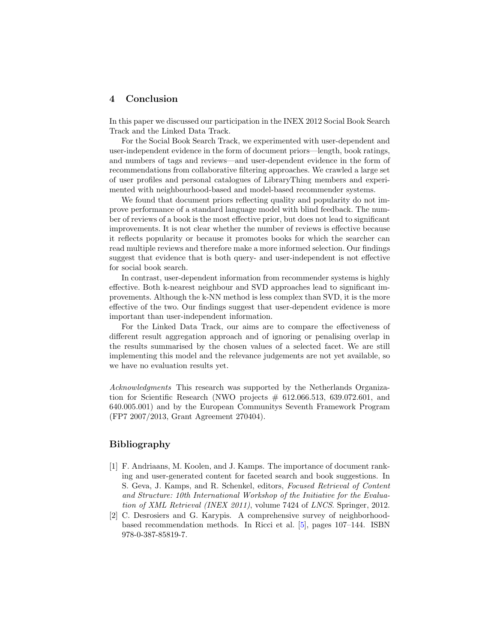# <span id="page-9-0"></span>4 Conclusion

In this paper we discussed our participation in the INEX 2012 Social Book Search Track and the Linked Data Track.

For the Social Book Search Track, we experimented with user-dependent and user-independent evidence in the form of document priors—length, book ratings, and numbers of tags and reviews—and user-dependent evidence in the form of recommendations from collaborative filtering approaches. We crawled a large set of user profiles and personal catalogues of LibraryThing members and experimented with neighbourhood-based and model-based recommender systems.

We found that document priors reflecting quality and popularity do not improve performance of a standard language model with blind feedback. The number of reviews of a book is the most effective prior, but does not lead to significant improvements. It is not clear whether the number of reviews is effective because it reflects popularity or because it promotes books for which the searcher can read multiple reviews and therefore make a more informed selection. Our findings suggest that evidence that is both query- and user-independent is not effective for social book search.

In contrast, user-dependent information from recommender systems is highly effective. Both k-nearest neighbour and SVD approaches lead to significant improvements. Although the k-NN method is less complex than SVD, it is the more effective of the two. Our findings suggest that user-dependent evidence is more important than user-independent information.

For the Linked Data Track, our aims are to compare the effectiveness of different result aggregation approach and of ignoring or penalising overlap in the results summarised by the chosen values of a selected facet. We are still implementing this model and the relevance judgements are not yet available, so we have no evaluation results yet.

Acknowledgments This research was supported by the Netherlands Organization for Scientific Research (NWO projects  $# 612.066.513, 639.072.601,$  and 640.005.001) and by the European Communitys Seventh Framework Program (FP7 2007/2013, Grant Agreement 270404).

### Bibliography

- <span id="page-9-1"></span>[1] F. Andriaans, M. Koolen, and J. Kamps. The importance of document ranking and user-generated content for faceted search and book suggestions. In S. Geva, J. Kamps, and R. Schenkel, editors, Focused Retrieval of Content and Structure: 10th International Workshop of the Initiative for the Evaluation of XML Retrieval (INEX 2011), volume 7424 of LNCS. Springer, 2012.
- <span id="page-9-2"></span>[2] C. Desrosiers and G. Karypis. A comprehensive survey of neighborhoodbased recommendation methods. In Ricci et al. [\[5\]](#page-10-5), pages 107–144. ISBN 978-0-387-85819-7.